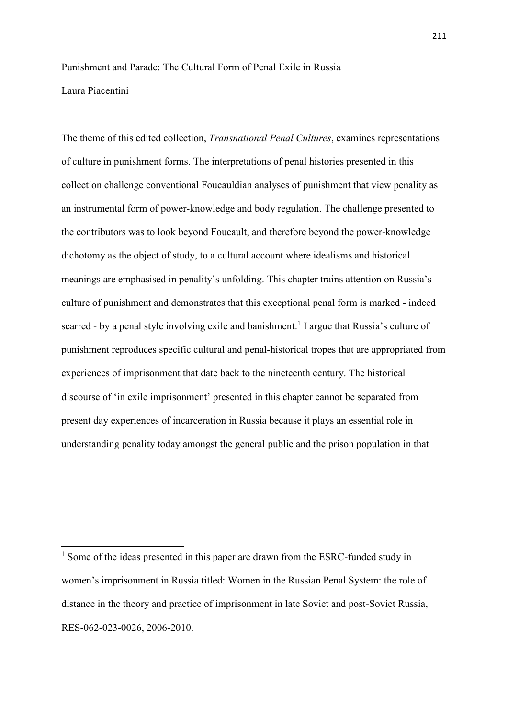## Punishment and Parade: The Cultural Form of Penal Exile in Russia Laura Piacentini

The theme of this edited collection, *Transnational Penal Cultures*, examines representations of culture in punishment forms. The interpretations of penal histories presented in this collection challenge conventional Foucauldian analyses of punishment that view penality as an instrumental form of power-knowledge and body regulation. The challenge presented to the contributors was to look beyond Foucault, and therefore beyond the power-knowledge dichotomy as the object of study, to a cultural account where idealisms and historical meanings are emphasised in penality's unfolding. This chapter trains attention on Russia's culture of punishment and demonstrates that this exceptional penal form is marked - indeed scarred - by a penal style involving exile and banishment.<sup>1</sup> I argue that Russia's culture of punishment reproduces specific cultural and penal-historical tropes that are appropriated from experiences of imprisonment that date back to the nineteenth century. The historical discourse of 'in exile imprisonment' presented in this chapter cannot be separated from present day experiences of incarceration in Russia because it plays an essential role in understanding penality today amongst the general public and the prison population in that

 $<sup>1</sup>$  Some of the ideas presented in this paper are drawn from the ESRC-funded study in</sup> women's imprisonment in Russia titled: Women in the Russian Penal System: the role of distance in the theory and practice of imprisonment in late Soviet and post-Soviet Russia, RES-062-023-0026, 2006-2010.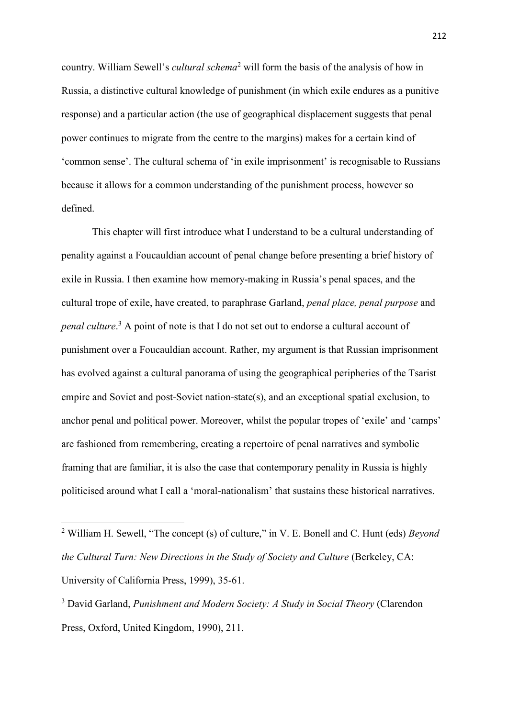country. William Sewell's *cultural schema*<sup>2</sup> will form the basis of the analysis of how in Russia, a distinctive cultural knowledge of punishment (in which exile endures as a punitive response) and a particular action (the use of geographical displacement suggests that penal power continues to migrate from the centre to the margins) makes for a certain kind of 'common sense'. The cultural schema of 'in exile imprisonment' is recognisable to Russians because it allows for a common understanding of the punishment process, however so defined.

This chapter will first introduce what I understand to be a cultural understanding of penality against a Foucauldian account of penal change before presenting a brief history of exile in Russia. I then examine how memory-making in Russia's penal spaces, and the cultural trope of exile, have created, to paraphrase Garland, *penal place, penal purpose* and *penal culture*. <sup>3</sup> A point of note is that I do not set out to endorse a cultural account of punishment over a Foucauldian account. Rather, my argument is that Russian imprisonment has evolved against a cultural panorama of using the geographical peripheries of the Tsarist empire and Soviet and post-Soviet nation-state(s), and an exceptional spatial exclusion, to anchor penal and political power. Moreover, whilst the popular tropes of 'exile' and 'camps' are fashioned from remembering, creating a repertoire of penal narratives and symbolic framing that are familiar, it is also the case that contemporary penality in Russia is highly politicised around what I call a 'moral-nationalism' that sustains these historical narratives.

1

<sup>2</sup> William H. Sewell, "The concept (s) of culture," in V. E. Bonell and C. Hunt (eds) *Beyond the Cultural Turn: New Directions in the Study of Society and Culture* (Berkeley, CA: University of California Press, 1999), 35-61.

<sup>3</sup> David Garland, *Punishment and Modern Society: A Study in Social Theory* (Clarendon Press, Oxford, United Kingdom, 1990), 211.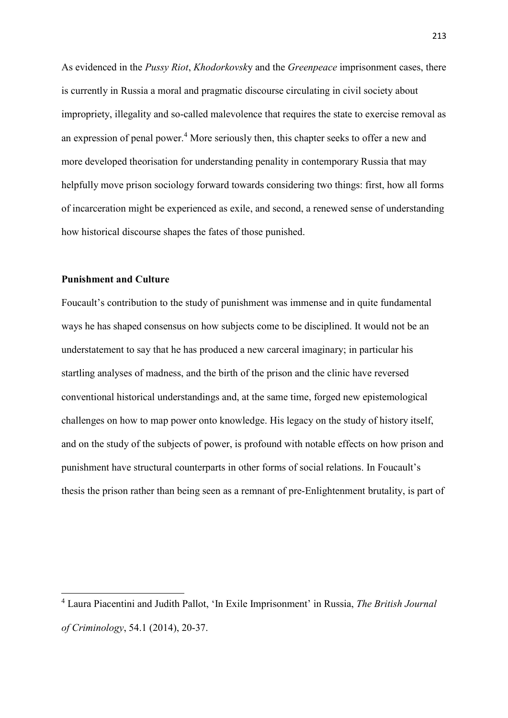As evidenced in the *Pussy Riot*, *Khodorkovsk*y and the *Greenpeace* imprisonment cases, there is currently in Russia a moral and pragmatic discourse circulating in civil society about impropriety, illegality and so-called malevolence that requires the state to exercise removal as an expression of penal power. <sup>4</sup> More seriously then, this chapter seeks to offer a new and more developed theorisation for understanding penality in contemporary Russia that may helpfully move prison sociology forward towards considering two things: first, how all forms of incarceration might be experienced as exile, and second, a renewed sense of understanding how historical discourse shapes the fates of those punished.

## **Punishment and Culture**

1

Foucault's contribution to the study of punishment was immense and in quite fundamental ways he has shaped consensus on how subjects come to be disciplined. It would not be an understatement to say that he has produced a new carceral imaginary; in particular his startling analyses of madness, and the birth of the prison and the clinic have reversed conventional historical understandings and, at the same time, forged new epistemological challenges on how to map power onto knowledge. His legacy on the study of history itself, and on the study of the subjects of power, is profound with notable effects on how prison and punishment have structural counterparts in other forms of social relations. In Foucault's thesis the prison rather than being seen as a remnant of pre-Enlightenment brutality, is part of

<sup>4</sup> Laura Piacentini and Judith Pallot, 'In Exile Imprisonment' in Russia, *The British Journal of Criminology*, 54.1 (2014), 20-37.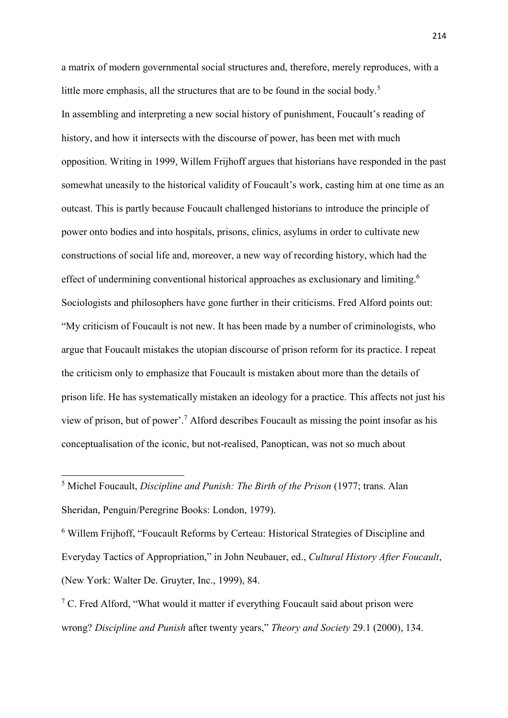a matrix of modern governmental social structures and, therefore, merely reproduces, with a little more emphasis, all the structures that are to be found in the social body. 5 In assembling and interpreting a new social history of punishment, Foucault's reading of history, and how it intersects with the discourse of power, has been met with much opposition. Writing in 1999, Willem Frijhoff argues that historians have responded in the past somewhat uneasily to the historical validity of Foucault's work, casting him at one time as an outcast. This is partly because Foucault challenged historians to introduce the principle of power onto bodies and into hospitals, prisons, clinics, asylums in order to cultivate new constructions of social life and, moreover, a new way of recording history, which had the effect of undermining conventional historical approaches as exclusionary and limiting.<sup>6</sup> Sociologists and philosophers have gone further in their criticisms. Fred Alford points out: "My criticism of Foucault is not new. It has been made by a number of criminologists, who argue that Foucault mistakes the utopian discourse of prison reform for its practice. I repeat the criticism only to emphasize that Foucault is mistaken about more than the details of prison life. He has systematically mistaken an ideology for a practice. This affects not just his view of prison, but of power'.<sup>7</sup> Alford describes Foucault as missing the point insofar as his conceptualisation of the iconic, but not-realised, Panoptican, was not so much about

<sup>5</sup> Michel Foucault, *Discipline and Punish: The Birth of the Prison* (1977; trans. Alan Sheridan, Penguin/Peregrine Books: London, 1979).

**.** 

<sup>6</sup> Willem Frijhoff, "Foucault Reforms by Certeau: Historical Strategies of Discipline and Everyday Tactics of Appropriation," in John Neubauer, ed., *Cultural History After Foucault*, (New York: Walter De. Gruyter, Inc., 1999), 84.

 $7$  C. Fred Alford, "What would it matter if everything Foucault said about prison were wrong? *Discipline and Punish* after twenty years," *Theory and Society* 29.1 (2000), 134.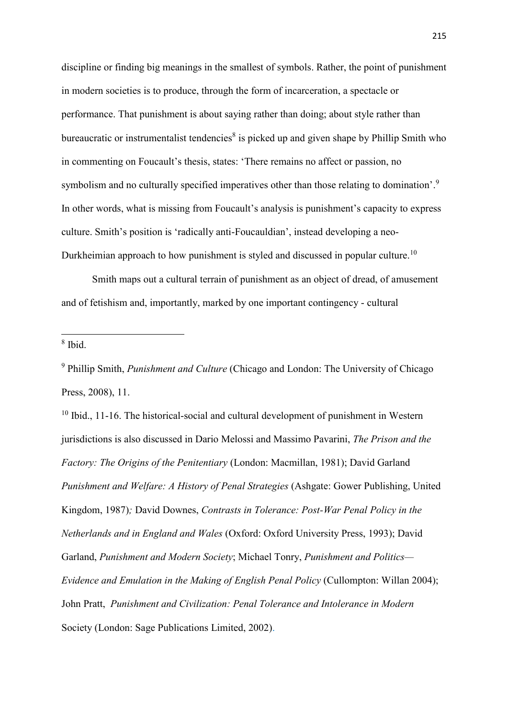discipline or finding big meanings in the smallest of symbols. Rather, the point of punishment in modern societies is to produce, through the form of incarceration, a spectacle or performance. That punishment is about saying rather than doing; about style rather than bureaucratic or instrumentalist tendencies<sup>8</sup> is picked up and given shape by Phillip Smith who in commenting on Foucault's thesis, states: 'There remains no affect or passion, no symbolism and no culturally specified imperatives other than those relating to domination'.<sup>9</sup> In other words, what is missing from Foucault's analysis is punishment's capacity to express culture. Smith's position is 'radically anti-Foucauldian', instead developing a neo-Durkheimian approach to how punishment is styled and discussed in popular culture.<sup>10</sup>

Smith maps out a cultural terrain of punishment as an object of dread, of amusement and of fetishism and, importantly, marked by one important contingency - cultural

8 Ibid.

1

<sup>9</sup> Phillip Smith, *Punishment and Culture* (Chicago and London: The University of Chicago Press, 2008), 11.

 $10$  Ibid., 11-16. The historical-social and cultural development of punishment in Western jurisdictions is also discussed in Dario Melossi and Massimo Pavarini, *The Prison and the Factory: The Origins of the Penitentiary* (London: Macmillan, 1981); David Garland *Punishment and Welfare: A History of Penal Strategies* (Ashgate: Gower Publishing, United Kingdom, 1987)*;* David Downes, *Contrasts in Tolerance: Post-War Penal Policy in the Netherlands and in England and Wales* (Oxford: Oxford University Press, 1993); David Garland, *Punishment and Modern Society*; Michael Tonry, *Punishment and Politics— Evidence and Emulation in the Making of English Penal Policy* (Cullompton: Willan 2004); John Pratt, *Punishment and Civilization: Penal Tolerance and Intolerance in Modern* Society (London: Sage Publications Limited, 2002).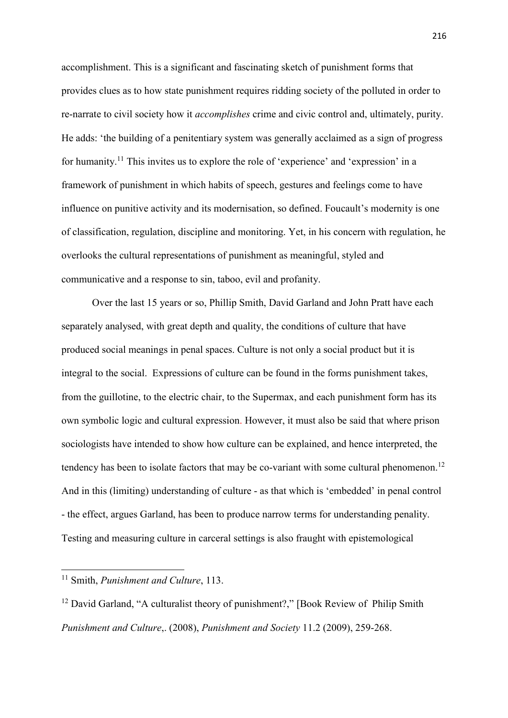accomplishment. This is a significant and fascinating sketch of punishment forms that provides clues as to how state punishment requires ridding society of the polluted in order to re-narrate to civil society how it *accomplishes* crime and civic control and, ultimately, purity. He adds: 'the building of a penitentiary system was generally acclaimed as a sign of progress for humanity.<sup>11</sup> This invites us to explore the role of 'experience' and 'expression' in a framework of punishment in which habits of speech, gestures and feelings come to have influence on punitive activity and its modernisation, so defined. Foucault's modernity is one of classification, regulation, discipline and monitoring. Yet, in his concern with regulation, he overlooks the cultural representations of punishment as meaningful, styled and communicative and a response to sin, taboo, evil and profanity.

Over the last 15 years or so, Phillip Smith, David Garland and John Pratt have each separately analysed, with great depth and quality, the conditions of culture that have produced social meanings in penal spaces. Culture is not only a social product but it is integral to the social. Expressions of culture can be found in the forms punishment takes, from the guillotine, to the electric chair, to the Supermax, and each punishment form has its own symbolic logic and cultural expression. However, it must also be said that where prison sociologists have intended to show how culture can be explained, and hence interpreted, the tendency has been to isolate factors that may be co-variant with some cultural phenomenon.<sup>12</sup> And in this (limiting) understanding of culture - as that which is 'embedded' in penal control - the effect, argues Garland, has been to produce narrow terms for understanding penality. Testing and measuring culture in carceral settings is also fraught with epistemological

<sup>11</sup> Smith, *Punishment and Culture*, 113.

<sup>&</sup>lt;sup>12</sup> David Garland, "A culturalist theory of punishment?," [Book Review of Philip Smith *Punishment and Culture*,. (2008), *Punishment and Society* 11.2 (2009), 259-268.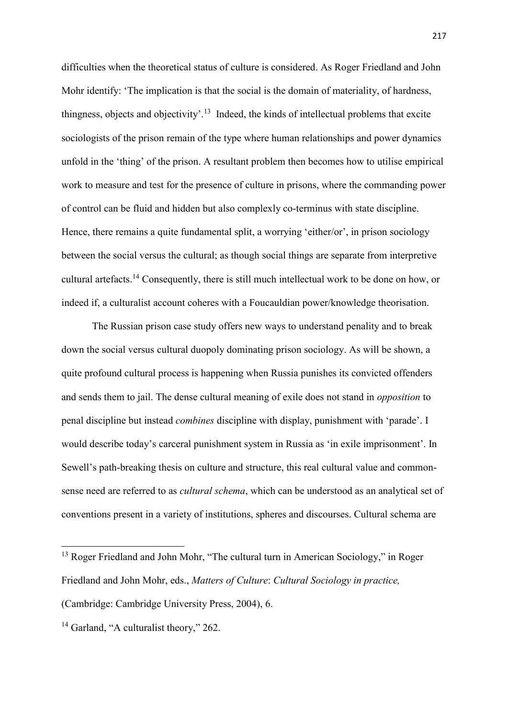difficulties when the theoretical status of culture is considered. As Roger Friedland and John Mohr identify: 'The implication is that the social is the domain of materiality, of hardness, thingness, objects and objectivity'.<sup>13</sup> Indeed, the kinds of intellectual problems that excite sociologists of the prison remain of the type where human relationships and power dynamics unfold in the 'thing' of the prison. A resultant problem then becomes how to utilise empirical work to measure and test for the presence of culture in prisons, where the commanding power of control can be fluid and hidden but also complexly co-terminus with state discipline. Hence, there remains a quite fundamental split, a worrying 'either/or', in prison sociology between the social versus the cultural; as though social things are separate from interpretive cultural artefacts.<sup>14</sup> Consequently, there is still much intellectual work to be done on how, or indeed if, a culturalist account coheres with a Foucauldian power/knowledge theorisation.

The Russian prison case study offers new ways to understand penality and to break down the social versus cultural duopoly dominating prison sociology. As will be shown, a quite profound cultural process is happening when Russia punishes its convicted offenders and sends them to jail. The dense cultural meaning of exile does not stand in *opposition* to penal discipline but instead *combines* discipline with display, punishment with 'parade'. I would describe today's carceral punishment system in Russia as 'in exile imprisonment'. In Sewell's path-breaking thesis on culture and structure, this real cultural value and commonsense need are referred to as *cultural schema*, which can be understood as an analytical set of conventions present in a variety of institutions, spheres and discourses. Cultural schema are

**<sup>.</sup>** <sup>13</sup> Roger Friedland and John Mohr, "The cultural turn in American Sociology," in Roger Friedland and John Mohr, eds., *Matters of Culture*: *Cultural Sociology in practice,* 

<sup>(</sup>Cambridge: Cambridge University Press, 2004), 6.

<sup>&</sup>lt;sup>14</sup> Garland, "A culturalist theory," 262.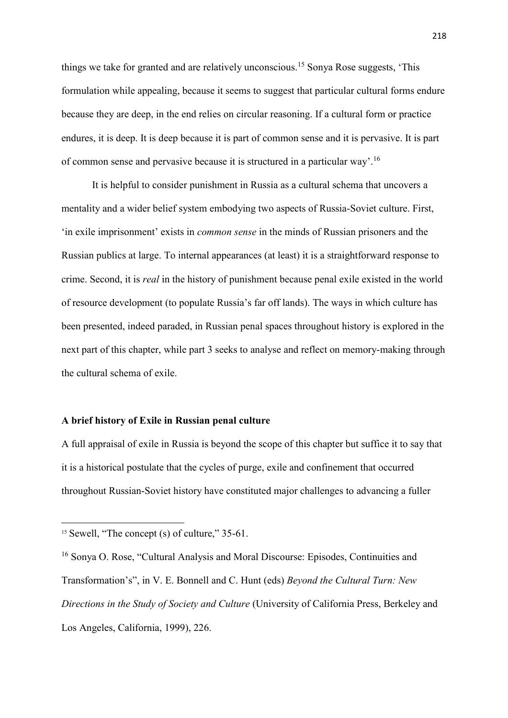things we take for granted and are relatively unconscious.<sup>15</sup> Sonya Rose suggests, 'This formulation while appealing, because it seems to suggest that particular cultural forms endure because they are deep, in the end relies on circular reasoning. If a cultural form or practice endures, it is deep. It is deep because it is part of common sense and it is pervasive. It is part of common sense and pervasive because it is structured in a particular way'.<sup>16</sup>

It is helpful to consider punishment in Russia as a cultural schema that uncovers a mentality and a wider belief system embodying two aspects of Russia-Soviet culture. First, 'in exile imprisonment' exists in *common sense* in the minds of Russian prisoners and the Russian publics at large. To internal appearances (at least) it is a straightforward response to crime. Second, it is *real* in the history of punishment because penal exile existed in the world of resource development (to populate Russia's far off lands). The ways in which culture has been presented, indeed paraded, in Russian penal spaces throughout history is explored in the next part of this chapter, while part 3 seeks to analyse and reflect on memory-making through the cultural schema of exile.

## **A brief history of Exile in Russian penal culture**

A full appraisal of exile in Russia is beyond the scope of this chapter but suffice it to say that it is a historical postulate that the cycles of purge, exile and confinement that occurred throughout Russian-Soviet history have constituted major challenges to advancing a fuller

1

<sup>&</sup>lt;sup>15</sup> Sewell, "The concept (s) of culture," 35-61.

<sup>16</sup> Sonya O. Rose, "Cultural Analysis and Moral Discourse: Episodes, Continuities and Transformation's", in V. E. Bonnell and C. Hunt (eds) *Beyond the Cultural Turn: New Directions in the Study of Society and Culture* (University of California Press, Berkeley and Los Angeles, California, 1999), 226.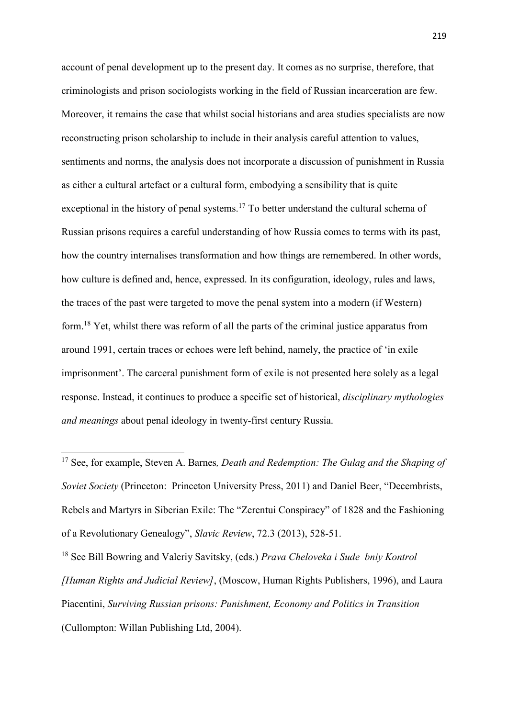account of penal development up to the present day. It comes as no surprise, therefore, that criminologists and prison sociologists working in the field of Russian incarceration are few. Moreover, it remains the case that whilst social historians and area studies specialists are now reconstructing prison scholarship to include in their analysis careful attention to values, sentiments and norms, the analysis does not incorporate a discussion of punishment in Russia as either a cultural artefact or a cultural form, embodying a sensibility that is quite exceptional in the history of penal systems.<sup>17</sup> To better understand the cultural schema of Russian prisons requires a careful understanding of how Russia comes to terms with its past, how the country internalises transformation and how things are remembered. In other words, how culture is defined and, hence, expressed. In its configuration, ideology, rules and laws, the traces of the past were targeted to move the penal system into a modern (if Western) form.<sup>18</sup> Yet, whilst there was reform of all the parts of the criminal justice apparatus from around 1991, certain traces or echoes were left behind, namely, the practice of 'in exile imprisonment'. The carceral punishment form of exile is not presented here solely as a legal response. Instead, it continues to produce a specific set of historical, *disciplinary mythologies and meanings* about penal ideology in twenty-first century Russia.

 $\overline{\phantom{a}}$ 

<sup>17</sup> See, for example, Steven A. Barnes*, Death and Redemption: The Gulag and the Shaping of Soviet Society* (Princeton: Princeton University Press, 2011) and Daniel Beer, "Decembrists, Rebels and Martyrs in Siberian Exile: The "Zerentui Conspiracy" of 1828 and the Fashioning of a Revolutionary Genealogy", *Slavic Review*, 72.3 (2013), 528-51.

<sup>18</sup> See Bill Bowring and Valeriy Savitsky, (eds.) *Prava Cheloveka i Sude bniy Kontrol [Human Rights and Judicial Review]*, (Moscow, Human Rights Publishers, 1996), and Laura Piacentini, *Surviving Russian prisons: Punishment, Economy and Politics in Transition* (Cullompton: Willan Publishing Ltd, 2004).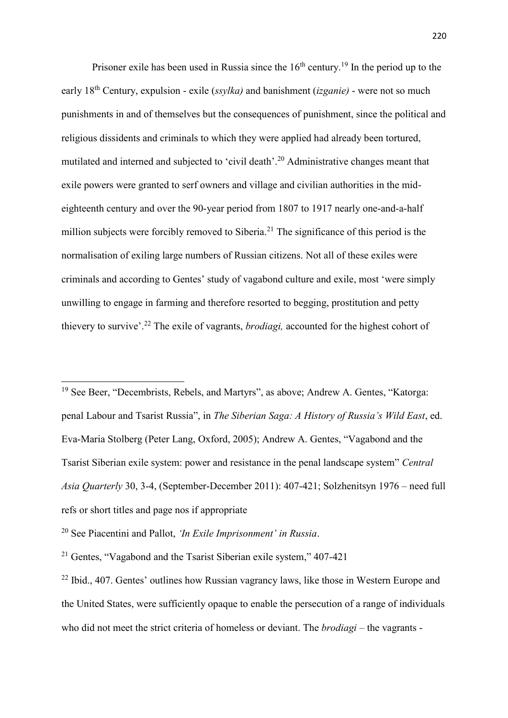Prisoner exile has been used in Russia since the  $16<sup>th</sup>$  century.<sup>19</sup> In the period up to the early 18th Century, expulsion - exile (*ssylka)* and banishment (*izganie)* - were not so much punishments in and of themselves but the consequences of punishment, since the political and religious dissidents and criminals to which they were applied had already been tortured, mutilated and interned and subjected to 'civil death'. <sup>20</sup> Administrative changes meant that exile powers were granted to serf owners and village and civilian authorities in the mideighteenth century and over the 90-year period from 1807 to 1917 nearly one-and-a-half million subjects were forcibly removed to Siberia.<sup>21</sup> The significance of this period is the normalisation of exiling large numbers of Russian citizens. Not all of these exiles were criminals and according to Gentes' study of vagabond culture and exile, most 'were simply unwilling to engage in farming and therefore resorted to begging, prostitution and petty thievery to survive'. <sup>22</sup> The exile of vagrants, *brodiagi,* accounted for the highest cohort of

<sup>19</sup> See Beer, "Decembrists, Rebels, and Martyrs", as above; Andrew A. Gentes, "Katorga: penal Labour and Tsarist Russia", in *The Siberian Saga: A History of Russia's Wild East*, ed. Eva-Maria Stolberg (Peter Lang, Oxford, 2005); Andrew A. Gentes, "Vagabond and the Tsarist Siberian exile system: power and resistance in the penal landscape system" *Central Asia Quarterly* 30, 3-4, (September-December 2011): 407-421; Solzhenitsyn 1976 – need full refs or short titles and page nos if appropriate

<sup>20</sup> See Piacentini and Pallot, *'In Exile Imprisonment' in Russia*.

<sup>&</sup>lt;sup>21</sup> Gentes, "Vagabond and the Tsarist Siberian exile system,"  $407-421$ 

<sup>&</sup>lt;sup>22</sup> Ibid., 407. Gentes' outlines how Russian vagrancy laws, like those in Western Europe and the United States, were sufficiently opaque to enable the persecution of a range of individuals who did not meet the strict criteria of homeless or deviant. The *brodiagi* – the vagrants -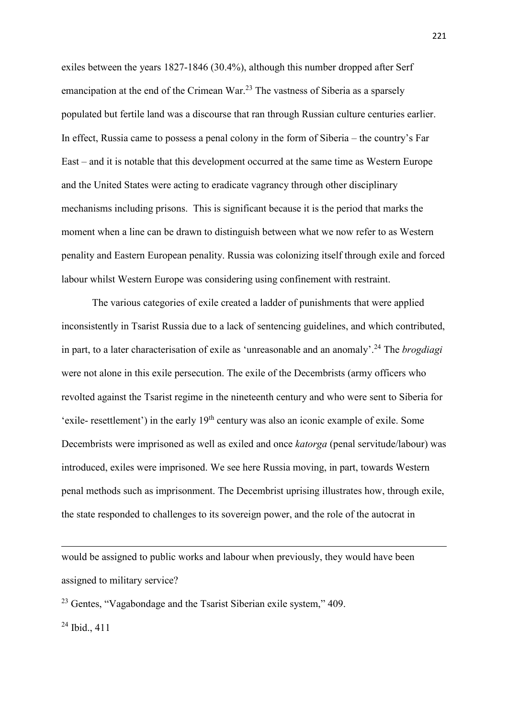exiles between the years 1827-1846 (30.4%), although this number dropped after Serf emancipation at the end of the Crimean War.<sup>23</sup> The vastness of Siberia as a sparsely populated but fertile land was a discourse that ran through Russian culture centuries earlier. In effect, Russia came to possess a penal colony in the form of Siberia – the country's Far East – and it is notable that this development occurred at the same time as Western Europe and the United States were acting to eradicate vagrancy through other disciplinary mechanisms including prisons. This is significant because it is the period that marks the moment when a line can be drawn to distinguish between what we now refer to as Western penality and Eastern European penality. Russia was colonizing itself through exile and forced labour whilst Western Europe was considering using confinement with restraint.

The various categories of exile created a ladder of punishments that were applied inconsistently in Tsarist Russia due to a lack of sentencing guidelines, and which contributed, in part, to a later characterisation of exile as 'unreasonable and an anomaly'. <sup>24</sup> The *brogdiagi*  were not alone in this exile persecution. The exile of the Decembrists (army officers who revolted against the Tsarist regime in the nineteenth century and who were sent to Siberia for 'exile- resettlement') in the early  $19<sup>th</sup>$  century was also an iconic example of exile. Some Decembrists were imprisoned as well as exiled and once *katorga* (penal servitude/labour) was introduced, exiles were imprisoned. We see here Russia moving, in part, towards Western penal methods such as imprisonment. The Decembrist uprising illustrates how, through exile, the state responded to challenges to its sovereign power, and the role of the autocrat in

would be assigned to public works and labour when previously, they would have been assigned to military service?

<sup>23</sup> Gentes, "Vagabondage and the Tsarist Siberian exile system," 409.

 $^{24}$  Ibid., 411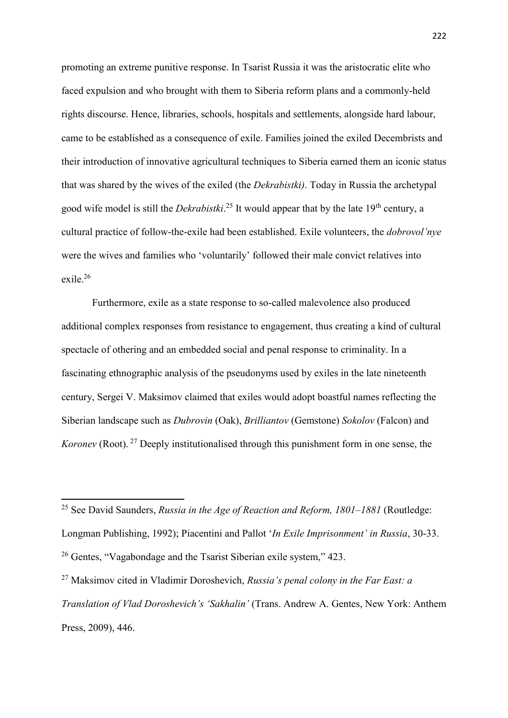promoting an extreme punitive response. In Tsarist Russia it was the aristocratic elite who faced expulsion and who brought with them to Siberia reform plans and a commonly-held rights discourse. Hence, libraries, schools, hospitals and settlements, alongside hard labour, came to be established as a consequence of exile. Families joined the exiled Decembrists and their introduction of innovative agricultural techniques to Siberia earned them an iconic status that was shared by the wives of the exiled (the *Dekrabistki)*. Today in Russia the archetypal good wife model is still the *Dekrabistki*.<sup>25</sup> It would appear that by the late 19<sup>th</sup> century, a cultural practice of follow-the-exile had been established. Exile volunteers, the *dobrovol'nye* were the wives and families who 'voluntarily' followed their male convict relatives into exile. 26

Furthermore, exile as a state response to so-called malevolence also produced additional complex responses from resistance to engagement, thus creating a kind of cultural spectacle of othering and an embedded social and penal response to criminality. In a fascinating ethnographic analysis of the pseudonyms used by exiles in the late nineteenth century, Sergei V. Maksimov claimed that exiles would adopt boastful names reflecting the Siberian landscape such as *Dubrovin* (Oak), *Brilliantov* (Gemstone) *Sokolov* (Falcon) and *Koronev* (Root). <sup>27</sup> Deeply institutionalised through this punishment form in one sense, the

<sup>25</sup> See David Saunders, *Russia in the Age of Reaction and Reform, 1801–1881* (Routledge: Longman Publishing, 1992); Piacentini and Pallot '*In Exile Imprisonment' in Russia*, 30-33. <sup>26</sup> Gentes, "Vagabondage and the Tsarist Siberian exile system," 423.

<sup>27</sup> Maksimov cited in Vladimir Doroshevich, *Russia's penal colony in the Far East: a Translation of Vlad Doroshevich's 'Sakhalin'* (Trans. Andrew A. Gentes, New York: Anthem Press, 2009), 446.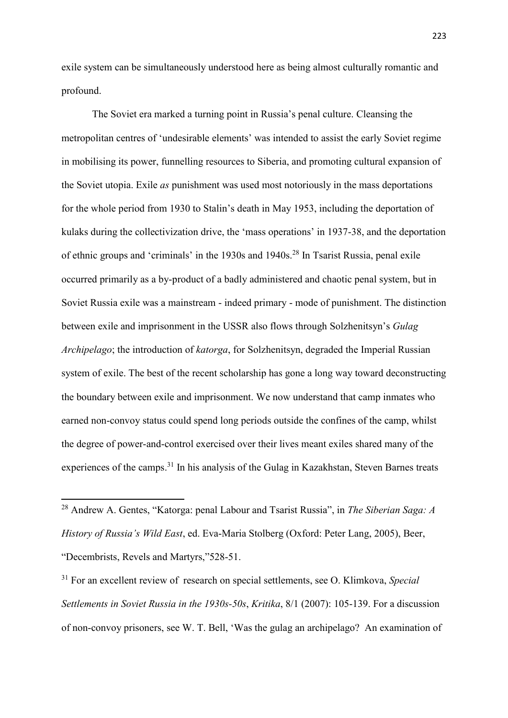exile system can be simultaneously understood here as being almost culturally romantic and profound.

The Soviet era marked a turning point in Russia's penal culture. Cleansing the metropolitan centres of 'undesirable elements' was intended to assist the early Soviet regime in mobilising its power, funnelling resources to Siberia, and promoting cultural expansion of the Soviet utopia. Exile *as* punishment was used most notoriously in the mass deportations for the whole period from 1930 to Stalin's death in May 1953, including the deportation of kulaks during the collectivization drive, the 'mass operations' in 1937-38, and the deportation of ethnic groups and 'criminals' in the 1930s and 1940s.<sup>28</sup> In Tsarist Russia, penal exile occurred primarily as a by-product of a badly administered and chaotic penal system, but in Soviet Russia exile was a mainstream - indeed primary - mode of punishment. The distinction between exile and imprisonment in the USSR also flows through Solzhenitsyn's *Gulag Archipelago*; the introduction of *katorga*, for Solzhenitsyn, degraded the Imperial Russian system of exile. The best of the recent scholarship has gone a long way toward deconstructing the boundary between exile and imprisonment. We now understand that camp inmates who earned non-convoy status could spend long periods outside the confines of the camp, whilst the degree of power-and-control exercised over their lives meant exiles shared many of the experiences of the camps.<sup>31</sup> In his analysis of the Gulag in Kazakhstan, Steven Barnes treats

<sup>28</sup> Andrew A. Gentes, "Katorga: penal Labour and Tsarist Russia", in *The Siberian Saga: A History of Russia's Wild East*, ed. Eva-Maria Stolberg (Oxford: Peter Lang, 2005), Beer, "Decembrists, Revels and Martyrs,"528-51.

<sup>31</sup> For an excellent review of research on special settlements, see O. Klimkova, *Special Settlements in Soviet Russia in the 1930s-50s*, *Kritika*, 8/1 (2007): 105-139. For a discussion of non-convoy prisoners, see W. T. Bell, 'Was the gulag an archipelago? An examination of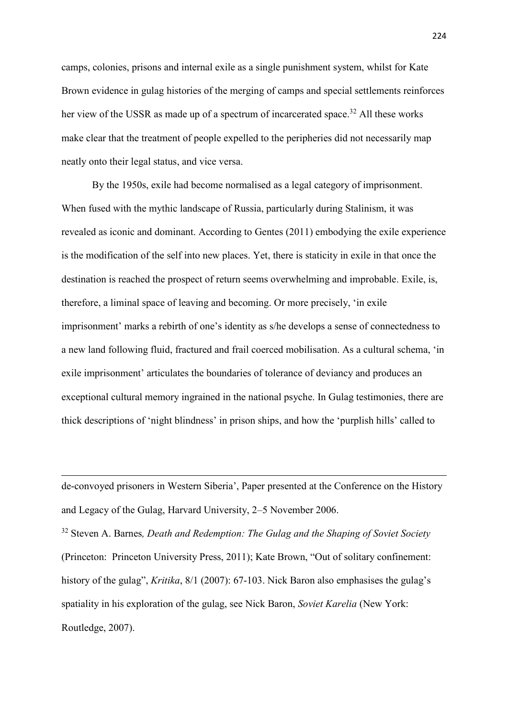camps, colonies, prisons and internal exile as a single punishment system, whilst for Kate Brown evidence in gulag histories of the merging of camps and special settlements reinforces her view of the USSR as made up of a spectrum of incarcerated space.<sup>32</sup> All these works make clear that the treatment of people expelled to the peripheries did not necessarily map neatly onto their legal status, and vice versa.

By the 1950s, exile had become normalised as a legal category of imprisonment. When fused with the mythic landscape of Russia, particularly during Stalinism, it was revealed as iconic and dominant. According to Gentes (2011) embodying the exile experience is the modification of the self into new places. Yet, there is staticity in exile in that once the destination is reached the prospect of return seems overwhelming and improbable. Exile, is, therefore, a liminal space of leaving and becoming. Or more precisely, 'in exile imprisonment' marks a rebirth of one's identity as s/he develops a sense of connectedness to a new land following fluid, fractured and frail coerced mobilisation. As a cultural schema, 'in exile imprisonment' articulates the boundaries of tolerance of deviancy and produces an exceptional cultural memory ingrained in the national psyche. In Gulag testimonies, there are thick descriptions of 'night blindness' in prison ships, and how the 'purplish hills' called to

de-convoyed prisoners in Western Siberia', Paper presented at the Conference on the History and Legacy of the Gulag, Harvard University, 2–5 November 2006.

**.** 

<sup>32</sup> Steven A. Barnes*, Death and Redemption: The Gulag and the Shaping of Soviet Society* (Princeton: Princeton University Press, 2011); Kate Brown, "Out of solitary confinement: history of the gulag", *Kritika*, 8/1 (2007): 67-103. Nick Baron also emphasises the gulag's spatiality in his exploration of the gulag, see Nick Baron, *Soviet Karelia* (New York: Routledge, 2007).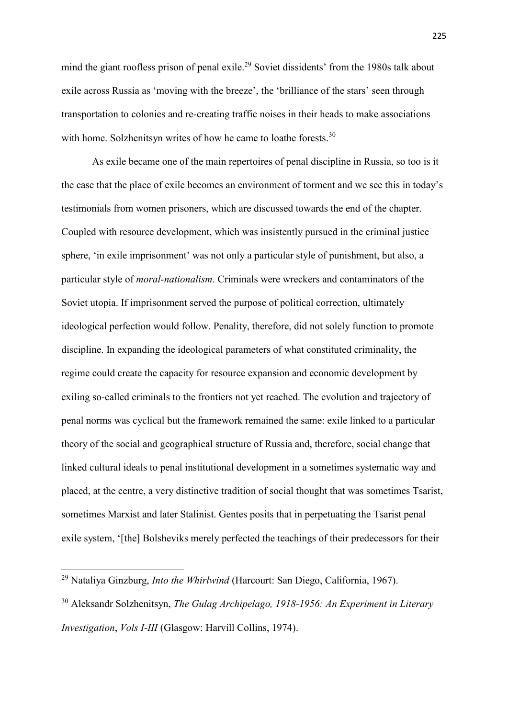mind the giant roofless prison of penal exile.<sup>29</sup> Soviet dissidents' from the 1980s talk about exile across Russia as 'moving with the breeze', the 'brilliance of the stars' seen through transportation to colonies and re-creating traffic noises in their heads to make associations with home. Solzhenitsyn writes of how he came to loathe forests.<sup>30</sup>

As exile became one of the main repertoires of penal discipline in Russia, so too is it the case that the place of exile becomes an environment of torment and we see this in today's testimonials from women prisoners, which are discussed towards the end of the chapter. Coupled with resource development, which was insistently pursued in the criminal justice sphere, 'in exile imprisonment' was not only a particular style of punishment, but also, a particular style of *moral-nationalism*. Criminals were wreckers and contaminators of the Soviet utopia. If imprisonment served the purpose of political correction, ultimately ideological perfection would follow. Penality, therefore, did not solely function to promote discipline. In expanding the ideological parameters of what constituted criminality, the regime could create the capacity for resource expansion and economic development by exiling so-called criminals to the frontiers not yet reached. The evolution and trajectory of penal norms was cyclical but the framework remained the same: exile linked to a particular theory of the social and geographical structure of Russia and, therefore, social change that linked cultural ideals to penal institutional development in a sometimes systematic way and placed, at the centre, a very distinctive tradition of social thought that was sometimes Tsarist, sometimes Marxist and later Stalinist. Gentes posits that in perpetuating the Tsarist penal exile system, '[the] Bolsheviks merely perfected the teachings of their predecessors for their

<sup>29</sup> Nataliya Ginzburg, *Into the Whirlwind* (Harcourt: San Diego, California, 1967).

<sup>30</sup> Aleksandr Solzhenitsyn, *The Gulag Archipelago, 1918-1956: An Experiment in Literary Investigation*, *Vols I-III* (Glasgow: Harvill Collins, 1974).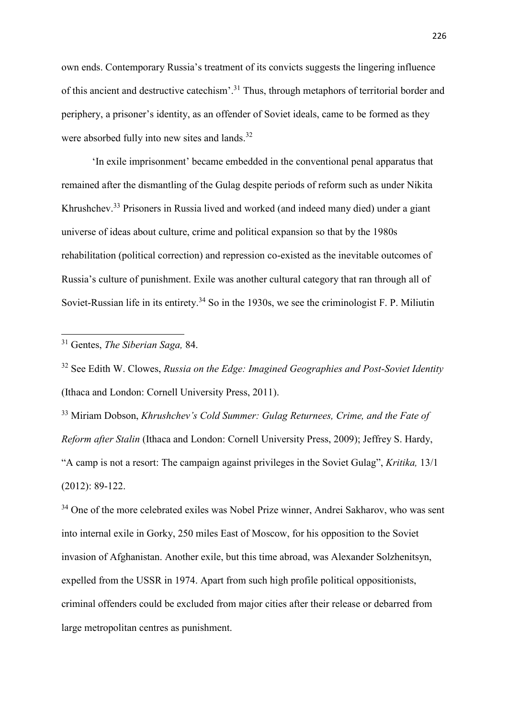own ends. Contemporary Russia's treatment of its convicts suggests the lingering influence of this ancient and destructive catechism'.<sup>31</sup> Thus, through metaphors of territorial border and periphery, a prisoner's identity, as an offender of Soviet ideals, came to be formed as they were absorbed fully into new sites and lands.<sup>32</sup>

'In exile imprisonment' became embedded in the conventional penal apparatus that remained after the dismantling of the Gulag despite periods of reform such as under Nikita Khrushchev.<sup>33</sup> Prisoners in Russia lived and worked (and indeed many died) under a giant universe of ideas about culture, crime and political expansion so that by the 1980s rehabilitation (political correction) and repression co-existed as the inevitable outcomes of Russia's culture of punishment. Exile was another cultural category that ran through all of Soviet-Russian life in its entirety.<sup>34</sup> So in the 1930s, we see the criminologist F. P. Miliutin

1

<sup>32</sup> See Edith W. Clowes, *Russia on the Edge: Imagined Geographies and Post-Soviet Identity*  (Ithaca and London: Cornell University Press, 2011).

<sup>33</sup> Miriam Dobson, *Khrushchev's Cold Summer: Gulag Returnees, Crime, and the Fate of Reform after Stalin* (Ithaca and London: Cornell University Press, 2009); Jeffrey S. Hardy, "A camp is not a resort: The campaign against privileges in the Soviet Gulag", *Kritika,* 13/1 (2012): 89-122.

<sup>34</sup> One of the more celebrated exiles was Nobel Prize winner, Andrei Sakharov, who was sent into internal exile in Gorky, 250 miles East of Moscow, for his opposition to the Soviet invasion of Afghanistan. Another exile, but this time abroad, was Alexander Solzhenitsyn, expelled from the USSR in 1974. Apart from such high profile political oppositionists, criminal offenders could be excluded from major cities after their release or debarred from large metropolitan centres as punishment.

<sup>31</sup> Gentes, *The Siberian Saga,* 84.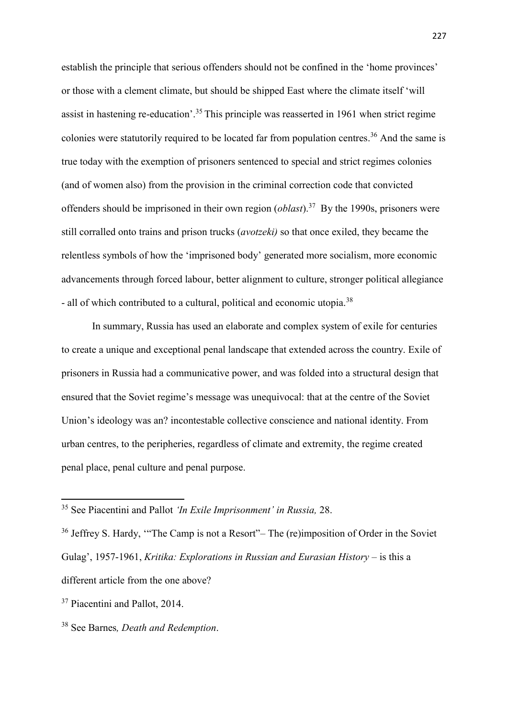establish the principle that serious offenders should not be confined in the 'home provinces' or those with a clement climate, but should be shipped East where the climate itself 'will assist in hastening re-education'.<sup>35</sup> This principle was reasserted in 1961 when strict regime colonies were statutorily required to be located far from population centres. <sup>36</sup> And the same is true today with the exemption of prisoners sentenced to special and strict regimes colonies (and of women also) from the provision in the criminal correction code that convicted offenders should be imprisoned in their own region (*oblast*). 37 By the 1990s, prisoners were still corralled onto trains and prison trucks (*avotzeki)* so that once exiled, they became the relentless symbols of how the 'imprisoned body' generated more socialism, more economic advancements through forced labour, better alignment to culture, stronger political allegiance - all of which contributed to a cultural, political and economic utopia.<sup>38</sup>

In summary, Russia has used an elaborate and complex system of exile for centuries to create a unique and exceptional penal landscape that extended across the country. Exile of prisoners in Russia had a communicative power, and was folded into a structural design that ensured that the Soviet regime's message was unequivocal: that at the centre of the Soviet Union's ideology was an? incontestable collective conscience and national identity. From urban centres, to the peripheries, regardless of climate and extremity, the regime created penal place, penal culture and penal purpose.

<sup>35</sup> See Piacentini and Pallot *'In Exile Imprisonment' in Russia,* 28.

<sup>&</sup>lt;sup>36</sup> Jeffrey S. Hardy, "The Camp is not a Resort"– The (re)imposition of Order in the Soviet Gulag', 1957-1961, *Kritika: Explorations in Russian and Eurasian History* – is this a different article from the one above?

<sup>&</sup>lt;sup>37</sup> Piacentini and Pallot, 2014.

<sup>38</sup> See Barnes*, Death and Redemption*.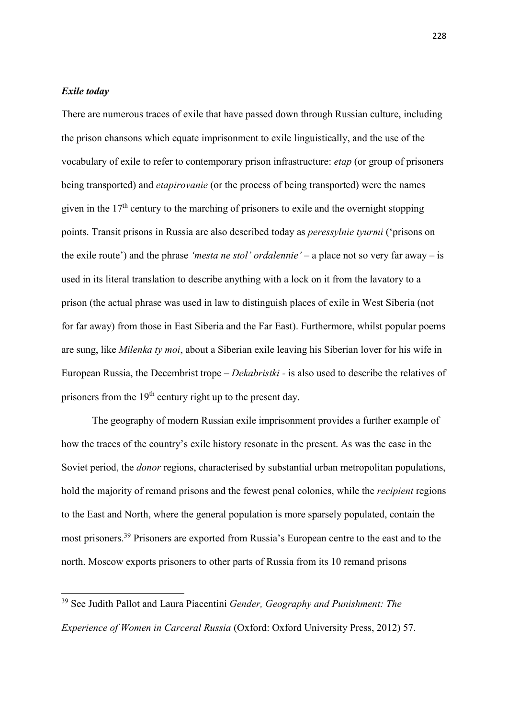## *Exile today*

1

There are numerous traces of exile that have passed down through Russian culture, including the prison chansons which equate imprisonment to exile linguistically, and the use of the vocabulary of exile to refer to contemporary prison infrastructure: *etap* (or group of prisoners being transported) and *etapirovanie* (or the process of being transported) were the names given in the 17th century to the marching of prisoners to exile and the overnight stopping points. Transit prisons in Russia are also described today as *peressylnie tyurmi* ('prisons on the exile route') and the phrase *'mesta ne stol' ordalennie'* – a place not so very far away – is used in its literal translation to describe anything with a lock on it from the lavatory to a prison (the actual phrase was used in law to distinguish places of exile in West Siberia (not for far away) from those in East Siberia and the Far East). Furthermore, whilst popular poems are sung, like *Milenka ty moi*, about a Siberian exile leaving his Siberian lover for his wife in European Russia, the Decembrist trope – *Dekabristki -* is also used to describe the relatives of prisoners from the 19th century right up to the present day.

The geography of modern Russian exile imprisonment provides a further example of how the traces of the country's exile history resonate in the present. As was the case in the Soviet period, the *donor* regions, characterised by substantial urban metropolitan populations, hold the majority of remand prisons and the fewest penal colonies, while the *recipient* regions to the East and North, where the general population is more sparsely populated, contain the most prisoners.<sup>39</sup> Prisoners are exported from Russia's European centre to the east and to the north. Moscow exports prisoners to other parts of Russia from its 10 remand prisons

<sup>39</sup> See Judith Pallot and Laura Piacentini *Gender, Geography and Punishment: The Experience of Women in Carceral Russia* (Oxford: Oxford University Press, 2012) 57.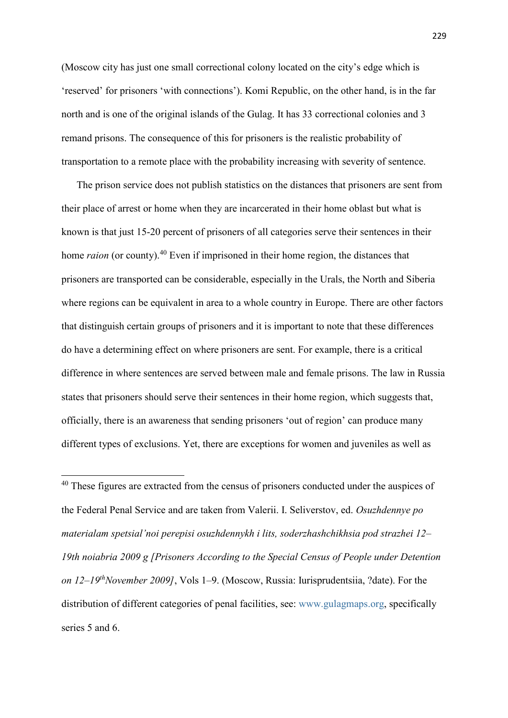(Moscow city has just one small correctional colony located on the city's edge which is 'reserved' for prisoners 'with connections'). Komi Republic, on the other hand, is in the far north and is one of the original islands of the Gulag. It has 33 correctional colonies and 3 remand prisons. The consequence of this for prisoners is the realistic probability of transportation to a remote place with the probability increasing with severity of sentence.

The prison service does not publish statistics on the distances that prisoners are sent from their place of arrest or home when they are incarcerated in their home oblast but what is known is that just 15-20 percent of prisoners of all categories serve their sentences in their home *raion* (or county).<sup>40</sup> Even if imprisoned in their home region, the distances that prisoners are transported can be considerable, especially in the Urals, the North and Siberia where regions can be equivalent in area to a whole country in Europe. There are other factors that distinguish certain groups of prisoners and it is important to note that these differences do have a determining effect on where prisoners are sent. For example, there is a critical difference in where sentences are served between male and female prisons. The law in Russia states that prisoners should serve their sentences in their home region, which suggests that, officially, there is an awareness that sending prisoners 'out of region' can produce many different types of exclusions. Yet, there are exceptions for women and juveniles as well as

<sup>40</sup> These figures are extracted from the census of prisoners conducted under the auspices of the Federal Penal Service and are taken from Valerii. I. Seliverstov, ed. *Osuzhdennye po materialam spetsial'noi perepisi osuzhdennykh i lits, soderzhashchikhsia pod strazhei 12– 19th noiabria 2009 g [Prisoners According to the Special Census of People under Detention on 12–19thNovember 2009]*, Vols 1–9. (Moscow, Russia: Iurisprudentsiia, ?date). For the distribution of different categories of penal facilities, see: [www.gulagmaps.org,](http://www.gulagmaps.org/) specifically series 5 and 6.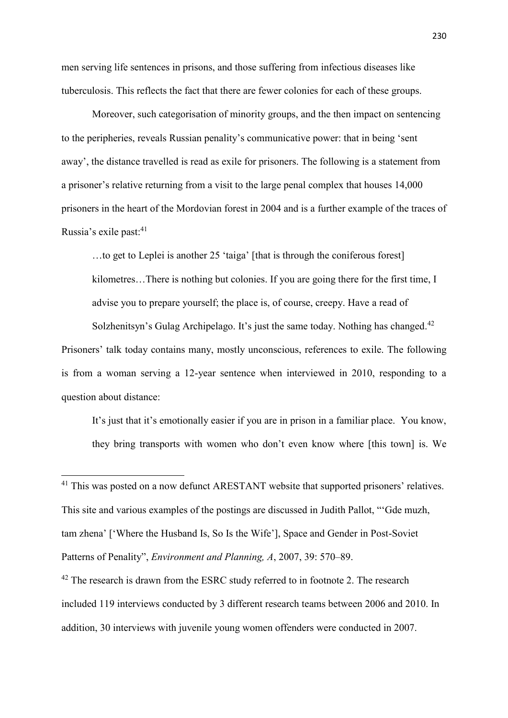men serving life sentences in prisons, and those suffering from infectious diseases like tuberculosis. This reflects the fact that there are fewer colonies for each of these groups.

Moreover, such categorisation of minority groups, and the then impact on sentencing to the peripheries, reveals Russian penality's communicative power: that in being 'sent away', the distance travelled is read as exile for prisoners. The following is a statement from a prisoner's relative returning from a visit to the large penal complex that houses 14,000 prisoners in the heart of the Mordovian forest in 2004 and is a further example of the traces of Russia's exile past: 41

…to get to Leplei is another 25 'taiga' [that is through the coniferous forest] kilometres…There is nothing but colonies. If you are going there for the first time, I advise you to prepare yourself; the place is, of course, creepy. Have a read of Solzhenitsyn's Gulag Archipelago. It's just the same today. Nothing has changed.<sup>42</sup>

Prisoners' talk today contains many, mostly unconscious, references to exile. The following is from a woman serving a 12-year sentence when interviewed in 2010, responding to a question about distance:

It's just that it's emotionally easier if you are in prison in a familiar place. You know, they bring transports with women who don't even know where [this town] is. We

<sup>41</sup> This was posted on a now defunct ARESTANT website that supported prisoners' relatives. This site and various examples of the postings are discussed in Judith Pallot, "'Gde muzh, tam zhena' ['Where the Husband Is, So Is the Wife'], Space and Gender in Post-Soviet Patterns of Penality", *Environment and Planning, A*, 2007, 39: 570–89.

**.** 

<sup>42</sup> The research is drawn from the ESRC study referred to in footnote 2. The research included 119 interviews conducted by 3 different research teams between 2006 and 2010. In addition, 30 interviews with juvenile young women offenders were conducted in 2007.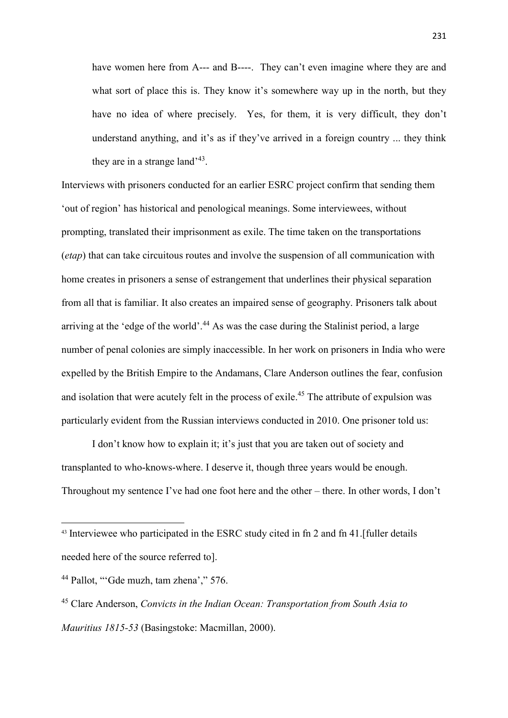have women here from A--- and B----. They can't even imagine where they are and what sort of place this is. They know it's somewhere way up in the north, but they have no idea of where precisely. Yes, for them, it is very difficult, they don't understand anything, and it's as if they've arrived in a foreign country ... they think they are in a strange land<sup> $3$ </sup>.

Interviews with prisoners conducted for an earlier ESRC project confirm that sending them 'out of region' has historical and penological meanings. Some interviewees, without prompting, translated their imprisonment as exile. The time taken on the transportations (*etap*) that can take circuitous routes and involve the suspension of all communication with home creates in prisoners a sense of estrangement that underlines their physical separation from all that is familiar. It also creates an impaired sense of geography. Prisoners talk about arriving at the 'edge of the world'.<sup>44</sup> As was the case during the Stalinist period, a large number of penal colonies are simply inaccessible. In her work on prisoners in India who were expelled by the British Empire to the Andamans, Clare Anderson outlines the fear, confusion and isolation that were acutely felt in the process of exile.<sup>45</sup> The attribute of expulsion was particularly evident from the Russian interviews conducted in 2010. One prisoner told us:

I don't know how to explain it; it's just that you are taken out of society and transplanted to who-knows-where. I deserve it, though three years would be enough. Throughout my sentence I've had one foot here and the other – there. In other words, I don't

1

<sup>43</sup> Interviewee who participated in the ESRC study cited in fn 2 and fn 41.[fuller details needed here of the source referred to].

<sup>44</sup> Pallot, "'Gde muzh, tam zhena'," 576.

<sup>45</sup> Clare Anderson, *Convicts in the Indian Ocean: Transportation from South Asia to Mauritius 1815-53* (Basingstoke: Macmillan, 2000).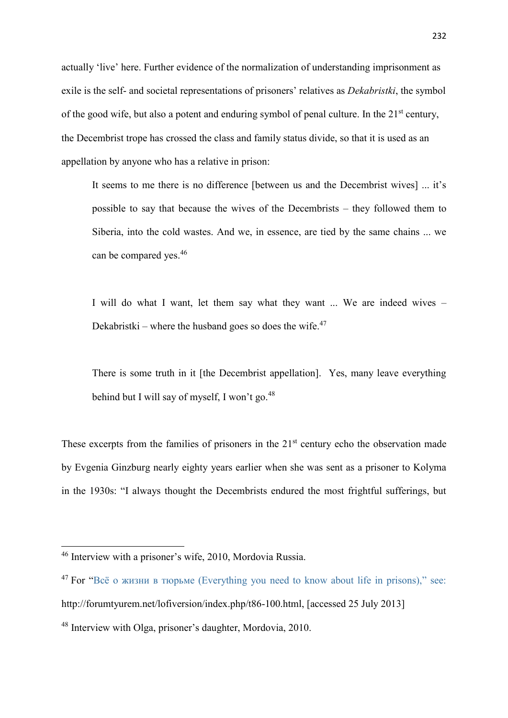actually 'live' here. Further evidence of the normalization of understanding imprisonment as exile is the self- and societal representations of prisoners' relatives as *Dekabristki*, the symbol of the good wife, but also a potent and enduring symbol of penal culture. In the 21<sup>st</sup> century, the Decembrist trope has crossed the class and family status divide, so that it is used as an appellation by anyone who has a relative in prison:

It seems to me there is no difference [between us and the Decembrist wives] ... it's possible to say that because the wives of the Decembrists – they followed them to Siberia, into the cold wastes. And we, in essence, are tied by the same chains ... we can be compared yes. 46

I will do what I want, let them say what they want ... We are indeed wives – Dekabristki – where the husband goes so does the wife. $47$ 

There is some truth in it [the Decembrist appellation]. Yes, many leave everything behind but I will say of myself, I won't go.<sup>48</sup>

These excerpts from the families of prisoners in the  $21<sup>st</sup>$  century echo the observation made by Evgenia Ginzburg nearly eighty years earlier when she was sent as a prisoner to Kolyma in the 1930s: "I always thought the Decembrists endured the most frightful sufferings, but

<sup>&</sup>lt;sup>46</sup> Interview with a prisoner's wife, 2010, Mordovia Russia.

<sup>47</sup> For ["Всё о жизни в тюрьме \(Everything you need to know about life in prisons\)," see:](file:///C:/Users/James49/AppData/Local/Temp/Всё%20о%20жизни%20в%20тюрьме%20(Everything%20you%20need%20to%20know%20about%20life%20in%20prisons),)  http://forumtyurem.net/lofiversion/index.php/t86-100.html, [accessed 25 July 2013]

<sup>48</sup> Interview with Olga, prisoner's daughter, Mordovia, 2010.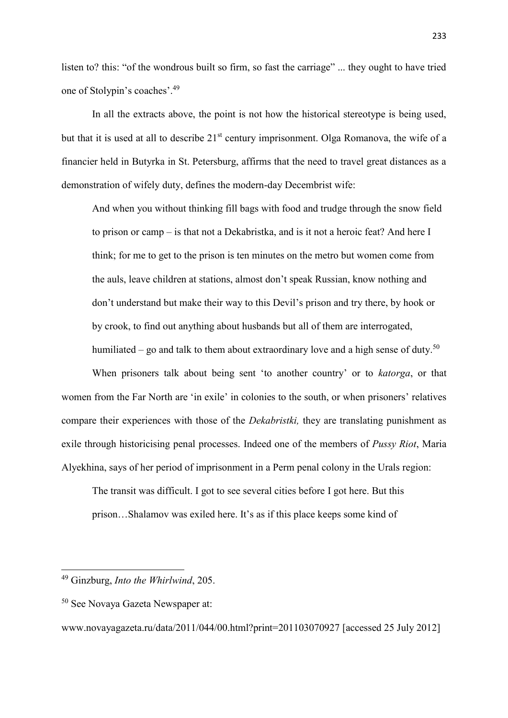listen to? this: "of the wondrous built so firm, so fast the carriage" ... they ought to have tried one of Stolypin's coaches'.<sup>49</sup>

In all the extracts above, the point is not how the historical stereotype is being used, but that it is used at all to describe 21<sup>st</sup> century imprisonment. Olga Romanova, the wife of a financier held in Butyrka in St. Petersburg, affirms that the need to travel great distances as a demonstration of wifely duty, defines the modern-day Decembrist wife:

And when you without thinking fill bags with food and trudge through the snow field to prison or camp – is that not a Dekabristka, and is it not a heroic feat? And here I think; for me to get to the prison is ten minutes on the metro but women come from the auls, leave children at stations, almost don't speak Russian, know nothing and don't understand but make their way to this Devil's prison and try there, by hook or by crook, to find out anything about husbands but all of them are interrogated, humiliated – go and talk to them about extraordinary love and a high sense of duty.<sup>50</sup>

When prisoners talk about being sent 'to another country' or to *katorga*, or that women from the Far North are 'in exile' in colonies to the south, or when prisoners' relatives compare their experiences with those of the *Dekabristki,* they are translating punishment as exile through historicising penal processes. Indeed one of the members of *Pussy Riot*, Maria Alyekhina, says of her period of imprisonment in a Perm penal colony in the Urals region:

The transit was difficult. I got to see several cities before I got here. But this prison…Shalamov was exiled here. It's as if this place keeps some kind of

<sup>49</sup> Ginzburg, *Into the Whirlwind*, 205.

<sup>50</sup> See Novaya Gazeta Newspaper at:

[www.novayagazeta.ru/data/2011/044/00.html?print=201103070927](http://www.novayagazeta.ru/data/2011/044/00.html?print=201103070927) [accessed 25 July 2012]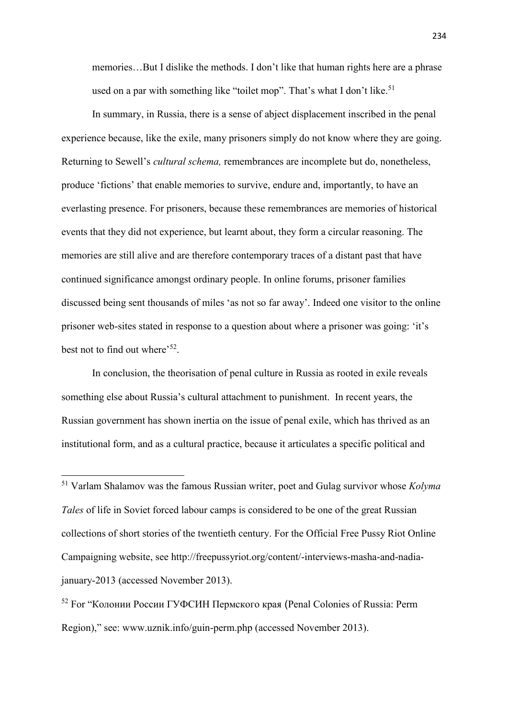memories…But I dislike the methods. I don't like that human rights here are a phrase used on a par with something like "toilet mop". That's what I don't like.<sup>51</sup>

In summary, in Russia, there is a sense of abject displacement inscribed in the penal experience because, like the exile, many prisoners simply do not know where they are going. Returning to Sewell's *cultural schema,* remembrances are incomplete but do, nonetheless, produce 'fictions' that enable memories to survive, endure and, importantly, to have an everlasting presence. For prisoners, because these remembrances are memories of historical events that they did not experience, but learnt about, they form a circular reasoning. The memories are still alive and are therefore contemporary traces of a distant past that have continued significance amongst ordinary people. In online forums, prisoner families discussed being sent thousands of miles 'as not so far away'. Indeed one visitor to the online prisoner web-sites stated in response to a question about where a prisoner was going: 'it's best not to find out where'<sup>52</sup>.

In conclusion, the theorisation of penal culture in Russia as rooted in exile reveals something else about Russia's cultural attachment to punishment. In recent years, the Russian government has shown inertia on the issue of penal exile, which has thrived as an institutional form, and as a cultural practice, because it articulates a specific political and

**.** 

<sup>52</sup> For ["Колонии России ГУФСИН Пермского края](http://www.uznik.info/guin-perm.php) (Penal Colonies of Russia: Perm Region)," see: [www.uznik.info/guin-perm.php](http://www.uznik.info/guin-perm.php) (accessed November 2013).

<sup>51</sup> Varlam Shalamov was the famous Russian writer, poet and Gulag survivor whose *Kolyma Tales* of life in Soviet forced labour camps is considered to be one of the great Russian collections of short stories of the twentieth century. For the Official Free Pussy Riot Online Campaigning website, see [http://freepussyriot.org/content/-interviews-masha-and-nadia](http://freepussyriot.org/content/-interviews-masha-and-nadia-january-2013)[january-2013](http://freepussyriot.org/content/-interviews-masha-and-nadia-january-2013) (accessed November 2013).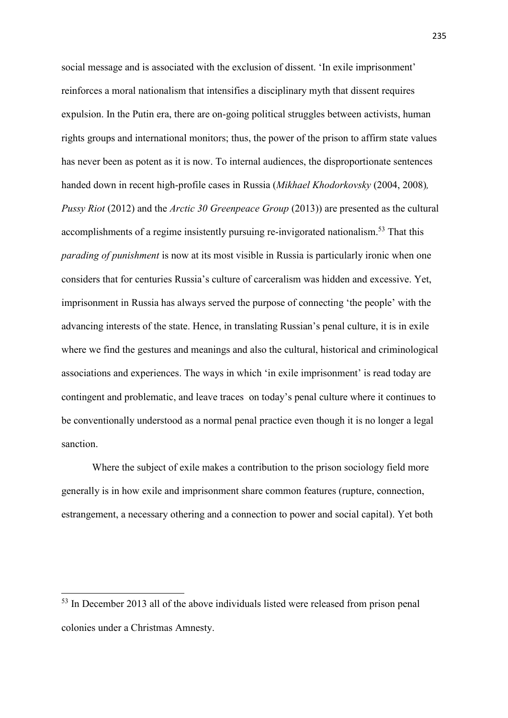social message and is associated with the exclusion of dissent. 'In exile imprisonment' reinforces a moral nationalism that intensifies a disciplinary myth that dissent requires expulsion. In the Putin era, there are on-going political struggles between activists, human rights groups and international monitors; thus, the power of the prison to affirm state values has never been as potent as it is now. To internal audiences, the disproportionate sentences handed down in recent high-profile cases in Russia (*Mikhael Khodorkovsky* (2004, 2008)*, Pussy Riot* (2012) and the *Arctic 30 Greenpeace Group* (2013)) are presented as the cultural accomplishments of a regime insistently pursuing re-invigorated nationalism.<sup>53</sup> That this *parading of punishment* is now at its most visible in Russia is particularly ironic when one considers that for centuries Russia's culture of carceralism was hidden and excessive. Yet, imprisonment in Russia has always served the purpose of connecting 'the people' with the advancing interests of the state. Hence, in translating Russian's penal culture, it is in exile where we find the gestures and meanings and also the cultural, historical and criminological associations and experiences. The ways in which 'in exile imprisonment' is read today are contingent and problematic, and leave traces on today's penal culture where it continues to be conventionally understood as a normal penal practice even though it is no longer a legal sanction.

Where the subject of exile makes a contribution to the prison sociology field more generally is in how exile and imprisonment share common features (rupture, connection, estrangement, a necessary othering and a connection to power and social capital). Yet both

1

<sup>&</sup>lt;sup>53</sup> In December 2013 all of the above individuals listed were released from prison penal colonies under a Christmas Amnesty.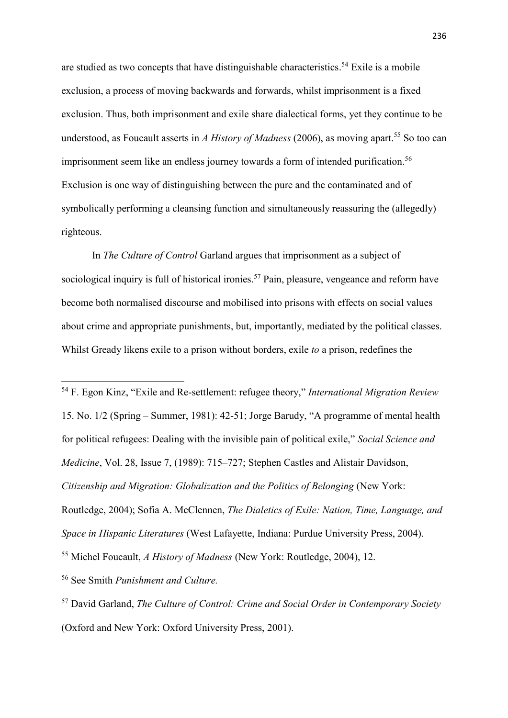are studied as two concepts that have distinguishable characteristics. <sup>54</sup> Exile is a mobile exclusion, a process of moving backwards and forwards, whilst imprisonment is a fixed exclusion. Thus, both imprisonment and exile share dialectical forms, yet they continue to be understood, as Foucault asserts in *A History of Madness* (2006), as moving apart. <sup>55</sup> So too can imprisonment seem like an endless journey towards a form of intended purification. 56 Exclusion is one way of distinguishing between the pure and the contaminated and of symbolically performing a cleansing function and simultaneously reassuring the (allegedly) righteous.

In *The Culture of Control* Garland argues that imprisonment as a subject of sociological inquiry is full of historical ironies.<sup>57</sup> Pain, pleasure, vengeance and reform have become both normalised discourse and mobilised into prisons with effects on social values about crime and appropriate punishments, but, importantly, mediated by the political classes. Whilst Gready likens exile to a prison without borders, exile *to* a prison, redefines the

<sup>54</sup> F. Egon Kinz, "Exile and Re-settlement: refugee theory," *International Migration Review*  15. No. 1/2 (Spring – Summer, 1981): 42-51; Jorge Barudy, "A programme of mental health for political refugees: Dealing with the invisible pain of political exile," *Social Science and Medicine*, Vol. 28, Issue 7, (1989): 715–727; Stephen Castles and Alistair Davidson, *Citizenship and Migration: Globalization and the Politics of Belonging* (New York: Routledge, 2004); Sofia A. McClennen, *The Dialetics of Exile: Nation, Time, Language, and Space in Hispanic Literatures* (West Lafayette, Indiana: Purdue University Press, 2004). <sup>55</sup> Michel Foucault, *A History of Madness* (New York: Routledge, 2004), 12.

<sup>56</sup> See Smith *Punishment and Culture.*

**.** 

<sup>57</sup> David Garland, *The Culture of Control: Crime and Social Order in Contemporary Society* (Oxford and New York: Oxford University Press, 2001).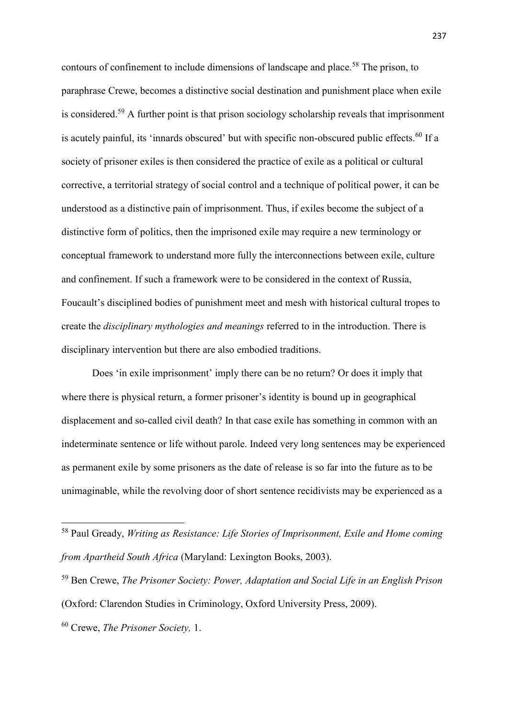contours of confinement to include dimensions of landscape and place.<sup>58</sup> The prison, to paraphrase Crewe, becomes a distinctive social destination and punishment place when exile is considered.<sup>59</sup> A further point is that prison sociology scholarship reveals that imprisonment is acutely painful, its 'innards obscured' but with specific non-obscured public effects.<sup>60</sup> If a society of prisoner exiles is then considered the practice of exile as a political or cultural corrective, a territorial strategy of social control and a technique of political power, it can be understood as a distinctive pain of imprisonment. Thus, if exiles become the subject of a distinctive form of politics, then the imprisoned exile may require a new terminology or conceptual framework to understand more fully the interconnections between exile, culture and confinement. If such a framework were to be considered in the context of Russia, Foucault's disciplined bodies of punishment meet and mesh with historical cultural tropes to create the *disciplinary mythologies and meanings* referred to in the introduction. There is disciplinary intervention but there are also embodied traditions.

Does 'in exile imprisonment' imply there can be no return? Or does it imply that where there is physical return, a former prisoner's identity is bound up in geographical displacement and so-called civil death? In that case exile has something in common with an indeterminate sentence or life without parole. Indeed very long sentences may be experienced as permanent exile by some prisoners as the date of release is so far into the future as to be unimaginable, while the revolving door of short sentence recidivists may be experienced as a

1

<sup>58</sup> Paul Gready, *Writing as Resistance: Life Stories of Imprisonment, Exile and Home coming from Apartheid South Africa* (Maryland: Lexington Books, 2003).

<sup>59</sup> Ben Crewe, *The Prisoner Society: Power, Adaptation and Social Life in an English Prison*  (Oxford: Clarendon Studies in Criminology, Oxford University Press, 2009).

<sup>60</sup> Crewe, *The Prisoner Society,* 1.